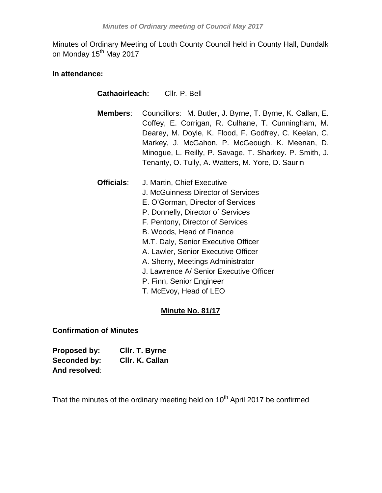Minutes of Ordinary Meeting of Louth County Council held in County Hall, Dundalk on Monday 15<sup>th</sup> May 2017

# **In attendance:**

| <b>Cathaoirleach:</b> | Cllr. P. Bell                                                                                                                                                                                                                                                                                                                                                                                         |
|-----------------------|-------------------------------------------------------------------------------------------------------------------------------------------------------------------------------------------------------------------------------------------------------------------------------------------------------------------------------------------------------------------------------------------------------|
| Members:              | Councillors: M. Butler, J. Byrne, T. Byrne, K. Callan, E.<br>Coffey, E. Corrigan, R. Culhane, T. Cunningham, M.<br>Dearey, M. Doyle, K. Flood, F. Godfrey, C. Keelan, C.<br>Markey, J. McGahon, P. McGeough. K. Meenan, D.<br>Minogue, L. Reilly, P. Savage, T. Sharkey. P. Smith, J.<br>Tenanty, O. Tully, A. Watters, M. Yore, D. Saurin                                                            |
| Officials:            | J. Martin, Chief Executive<br>J. McGuinness Director of Services<br>E. O'Gorman, Director of Services<br>P. Donnelly, Director of Services<br>F. Pentony, Director of Services<br>B. Woods, Head of Finance<br>M.T. Daly, Senior Executive Officer<br>A. Lawler, Senior Executive Officer<br>A. Sherry, Meetings Administrator<br>J. Lawrence A/ Senior Executive Officer<br>P. Finn, Senior Engineer |

# T. McEvoy, Head of LEO

# **Minute No. 81/17**

# **Confirmation of Minutes**

| Proposed by:  | CIIr. T. Byrne  |
|---------------|-----------------|
| Seconded by:  | Cllr. K. Callan |
| And resolved: |                 |

That the minutes of the ordinary meeting held on 10<sup>th</sup> April 2017 be confirmed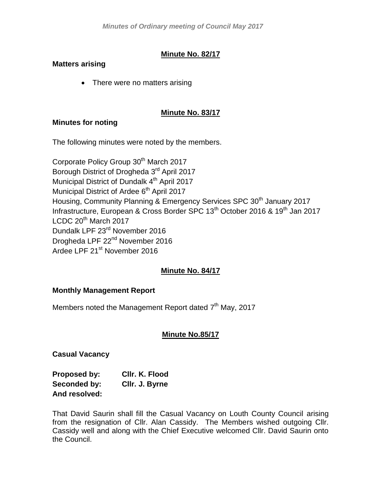# **Minute No. 82/17**

# **Matters arising**

• There were no matters arising

# **Minute No. 83/17**

# **Minutes for noting**

The following minutes were noted by the members.

Corporate Policy Group 30<sup>th</sup> March 2017 Borough District of Drogheda 3<sup>rd</sup> April 2017 Municipal District of Dundalk 4<sup>th</sup> April 2017 Municipal District of Ardee 6<sup>th</sup> April 2017 Housing, Community Planning & Emergency Services SPC 30<sup>th</sup> January 2017 Infrastructure, European & Cross Border SPC 13<sup>th</sup> October 2016 & 19<sup>th</sup> Jan 2017 LCDC  $20<sup>th</sup>$  March 2017 Dundalk LPF 23rd November 2016 Drogheda LPF 22<sup>nd</sup> November 2016 Ardee LPF 21<sup>st</sup> November 2016

# **Minute No. 84/17**

# **Monthly Management Report**

Members noted the Management Report dated 7<sup>th</sup> May, 2017

# **Minute No.85/17**

**Casual Vacancy**

| Proposed by:  | CIIr. K. Flood |
|---------------|----------------|
| Seconded by:  | CIIr. J. Byrne |
| And resolved: |                |

That David Saurin shall fill the Casual Vacancy on Louth County Council arising from the resignation of Cllr. Alan Cassidy. The Members wished outgoing Cllr. Cassidy well and along with the Chief Executive welcomed Cllr. David Saurin onto the Council.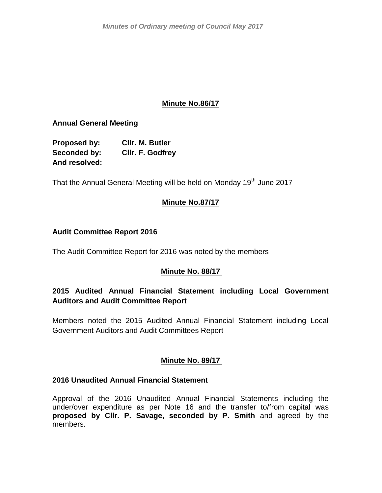*Minutes of Ordinary meeting of Council May 2017*

# **Minute No.86/17**

**Annual General Meeting**

**Proposed by: Cllr. M. Butler Seconded by: Cllr. F. Godfrey And resolved:**

That the Annual General Meeting will be held on Monday 19<sup>th</sup> June 2017

# **Minute No.87/17**

# **Audit Committee Report 2016**

The Audit Committee Report for 2016 was noted by the members

# **Minute No. 88/17**

# **2015 Audited Annual Financial Statement including Local Government Auditors and Audit Committee Report**

Members noted the 2015 Audited Annual Financial Statement including Local Government Auditors and Audit Committees Report

# **Minute No. 89/17**

# **2016 Unaudited Annual Financial Statement**

Approval of the 2016 Unaudited Annual Financial Statements including the under/over expenditure as per Note 16 and the transfer to/from capital was **proposed by Cllr. P. Savage, seconded by P. Smith** and agreed by the members.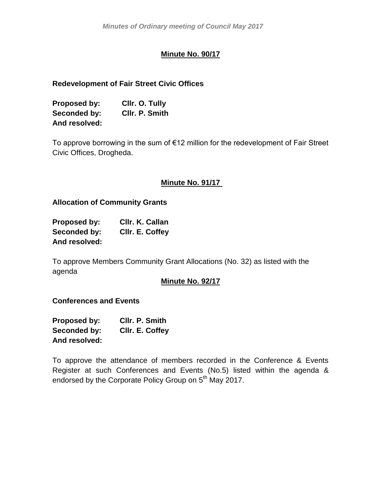# **Minute No. 90/17**

# **Redevelopment of Fair Street Civic Offices**

| Proposed by:  | Cllr. O. Tully |
|---------------|----------------|
| Seconded by:  | CIIr. P. Smith |
| And resolved: |                |

To approve borrowing in the sum of €12 million for the redevelopment of Fair Street Civic Offices, Drogheda.

# **Minute No. 91/17**

**Allocation of Community Grants**

| Proposed by:  | CIIr. K. Callan |
|---------------|-----------------|
| Seconded by:  | CIIr. E. Coffey |
| And resolved: |                 |

To approve Members Community Grant Allocations (No. 32) as listed with the agenda

# **Minute No. 92/17**

# **Conferences and Events**

| <b>Proposed by:</b> | CIIr. P. Smith  |
|---------------------|-----------------|
| Seconded by:        | CIIr. E. Coffey |
| And resolved:       |                 |

To approve the attendance of members recorded in the Conference & Events Register at such Conferences and Events (No.5) listed within the agenda & endorsed by the Corporate Policy Group on 5<sup>th</sup> May 2017.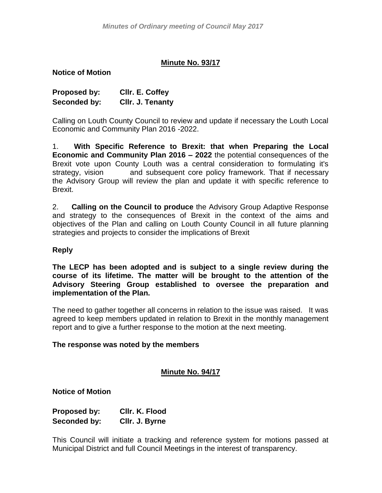# **Minute No. 93/17**

**Notice of Motion**

| Proposed by: | CIIr. E. Coffey  |
|--------------|------------------|
| Seconded by: | Cllr. J. Tenanty |

Calling on Louth County Council to review and update if necessary the Louth Local Economic and Community Plan 2016 -2022.

1. **With Specific Reference to Brexit: that when Preparing the Local Economic and Community Plan 2016 – 2022** the potential consequences of the Brexit vote upon County Louth was a central consideration to formulating it's strategy, vision and subsequent core policy framework. That if necessary the Advisory Group will review the plan and update it with specific reference to Brexit.

2. **Calling on the Council to produce** the Advisory Group Adaptive Response and strategy to the consequences of Brexit in the context of the aims and objectives of the Plan and calling on Louth County Council in all future planning strategies and projects to consider the implications of Brexit

### **Reply**

**The LECP has been adopted and is subject to a single review during the course of its lifetime. The matter will be brought to the attention of the Advisory Steering Group established to oversee the preparation and implementation of the Plan.**

The need to gather together all concerns in relation to the issue was raised. It was agreed to keep members updated in relation to Brexit in the monthly management report and to give a further response to the motion at the next meeting.

#### **The response was noted by the members**

# **Minute No. 94/17**

**Notice of Motion**

**Proposed by: Cllr. K. Flood Seconded by: Cllr. J. Byrne**

This Council will initiate a tracking and reference system for motions passed at Municipal District and full Council Meetings in the interest of transparency.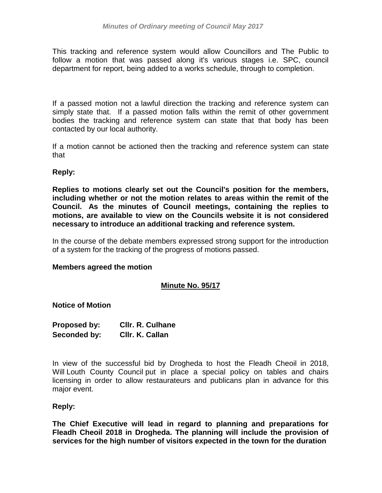This tracking and reference system would allow Councillors and The Public to follow a motion that was passed along it's various stages i.e. SPC, council department for report, being added to a works schedule, through to completion.

If a passed motion not a lawful direction the tracking and reference system can simply state that. If a passed motion falls within the remit of other government bodies the tracking and reference system can state that that body has been contacted by our local authority.

If a motion cannot be actioned then the tracking and reference system can state that

# **Reply:**

**Replies to motions clearly set out the Council's position for the members, including whether or not the motion relates to areas within the remit of the Council. As the minutes of Council meetings, containing the replies to motions, are available to view on the Councils website it is not considered necessary to introduce an additional tracking and reference system.**

In the course of the debate members expressed strong support for the introduction of a system for the tracking of the progress of motions passed.

#### **Members agreed the motion**

# **Minute No. 95/17**

**Notice of Motion**

| Proposed by: | <b>CIIr. R. Culhane</b> |
|--------------|-------------------------|
| Seconded by: | Cllr. K. Callan         |

In view of the successful bid by Drogheda to host the Fleadh Cheoil in 2018, Will Louth County Council put in place a special policy on tables and chairs licensing in order to allow restaurateurs and publicans plan in advance for this major event.

#### **Reply:**

**The Chief Executive will lead in regard to planning and preparations for Fleadh Cheoil 2018 in Drogheda. The planning will include the provision of services for the high number of visitors expected in the town for the duration**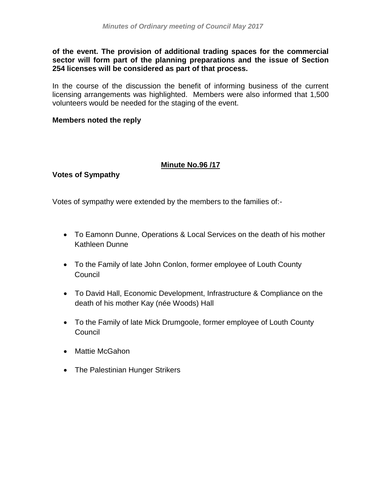**of the event. The provision of additional trading spaces for the commercial sector will form part of the planning preparations and the issue of Section 254 licenses will be considered as part of that process.**

In the course of the discussion the benefit of informing business of the current licensing arrangements was highlighted. Members were also informed that 1,500 volunteers would be needed for the staging of the event.

### **Members noted the reply**

# **Minute No.96 /17**

**Votes of Sympathy**

Votes of sympathy were extended by the members to the families of:-

- To Eamonn Dunne, Operations & Local Services on the death of his mother Kathleen Dunne
- To the Family of late John Conlon, former employee of Louth County **Council**
- To David Hall, Economic Development, Infrastructure & Compliance on the death of his mother Kay (née Woods) Hall
- To the Family of late Mick Drumgoole, former employee of Louth County Council
- Mattie McGahon
- The Palestinian Hunger Strikers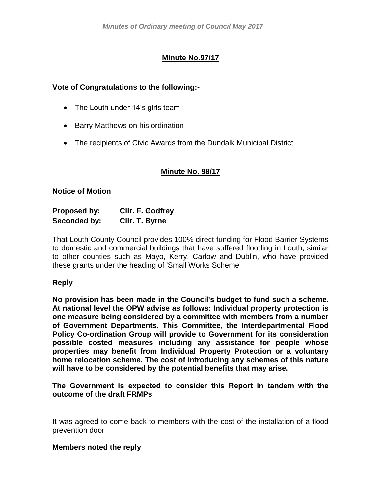# **Minute No.97/17**

# **Vote of Congratulations to the following:-**

- The Louth under 14's girls team
- Barry Matthews on his ordination
- The recipients of Civic Awards from the Dundalk Municipal District

# **Minute No. 98/17**

# **Notice of Motion**

| <b>Proposed by:</b> | CIIr. F. Godfrey |
|---------------------|------------------|
| Seconded by:        | Cllr. T. Byrne   |

That Louth County Council provides 100% direct funding for Flood Barrier Systems to domestic and commercial buildings that have suffered flooding in Louth, similar to other counties such as Mayo, Kerry, Carlow and Dublin, who have provided these grants under the heading of 'Small Works Scheme'

# **Reply**

**No provision has been made in the Council's budget to fund such a scheme. At national level the OPW advise as follows: Individual property protection is one measure being considered by a committee with members from a number of Government Departments. This Committee, the Interdepartmental Flood Policy Co-ordination Group will provide to Government for its consideration possible costed measures including any assistance for people whose properties may benefit from Individual Property Protection or a voluntary home relocation scheme. The cost of introducing any schemes of this nature will have to be considered by the potential benefits that may arise.** 

**The Government is expected to consider this Report in tandem with the outcome of the draft FRMPs**

It was agreed to come back to members with the cost of the installation of a flood prevention door

#### **Members noted the reply**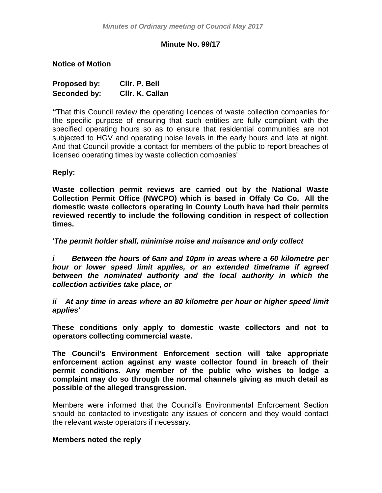# **Minute No. 99/17**

**Notice of Motion**

| Proposed by: | CIIr. P. Bell   |
|--------------|-----------------|
| Seconded by: | Cllr. K. Callan |

**"**That this Council review the operating licences of waste collection companies for the specific purpose of ensuring that such entities are fully compliant with the specified operating hours so as to ensure that residential communities are not subjected to HGV and operating noise levels in the early hours and late at night. And that Council provide a contact for members of the public to report breaches of licensed operating times by waste collection companies'

### **Reply:**

**Waste collection permit reviews are carried out by the National Waste Collection Permit Office (NWCPO) which is based in Offaly Co Co. All the domestic waste collectors operating in County Louth have had their permits reviewed recently to include the following condition in respect of collection times.** 

**'***The permit holder shall, minimise noise and nuisance and only collect* 

*i Between the hours of 6am and 10pm in areas where a 60 kilometre per hour or lower speed limit applies, or an extended timeframe if agreed between the nominated authority and the local authority in which the collection activities take place, or*

*ii At any time in areas where an 80 kilometre per hour or higher speed limit applies'*

**These conditions only apply to domestic waste collectors and not to operators collecting commercial waste.** 

**The Council's Environment Enforcement section will take appropriate enforcement action against any waste collector found in breach of their permit conditions. Any member of the public who wishes to lodge a complaint may do so through the normal channels giving as much detail as possible of the alleged transgression.** 

Members were informed that the Council's Environmental Enforcement Section should be contacted to investigate any issues of concern and they would contact the relevant waste operators if necessary.

#### **Members noted the reply**